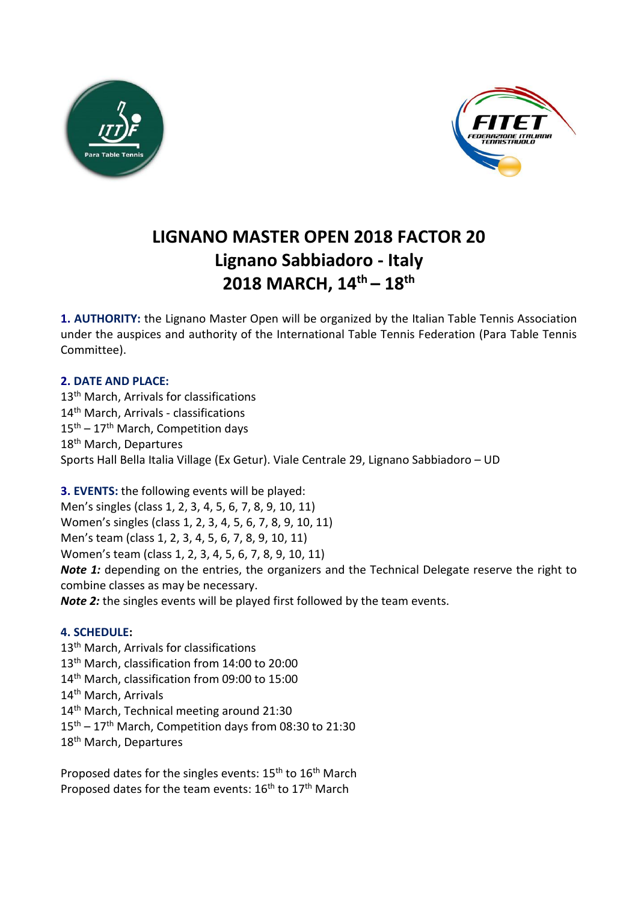



# **LIGNANO MASTER OPEN 2018 FACTOR 20 Lignano Sabbiadoro - Italy 2018 MARCH, 14th – 18th**

**1. AUTHORITY:** the Lignano Master Open will be organized by the Italian Table Tennis Association under the auspices and authority of the International Table Tennis Federation (Para Table Tennis Committee).

# **2. DATE AND PLACE:**

13<sup>th</sup> March, Arrivals for classifications 14<sup>th</sup> March, Arrivals - classifications  $15<sup>th</sup> - 17<sup>th</sup>$  March, Competition days 18<sup>th</sup> March, Departures Sports Hall Bella Italia Village (Ex Getur). Viale Centrale 29, Lignano Sabbiadoro – UD

**3. EVENTS:** the following events will be played:

Men's singles (class 1, 2, 3, 4, 5, 6, 7, 8, 9, 10, 11) Women's singles (class 1, 2, 3, 4, 5, 6, 7, 8, 9, 10, 11) Men's team (class 1, 2, 3, 4, 5, 6, 7, 8, 9, 10, 11) Women's team (class 1, 2, 3, 4, 5, 6, 7, 8, 9, 10, 11) *Note 1:* depending on the entries, the organizers and the Technical Delegate reserve the right to combine classes as may be necessary. *Note 2:* the singles events will be played first followed by the team events.

# **4. SCHEDULE:**

13<sup>th</sup> March, Arrivals for classifications 13<sup>th</sup> March, classification from 14:00 to 20:00 14<sup>th</sup> March, classification from 09:00 to 15:00 14<sup>th</sup> March, Arrivals 14<sup>th</sup> March, Technical meeting around 21:30 15th – 17th March, Competition days from 08:30 to 21:30 18<sup>th</sup> March, Departures

Proposed dates for the singles events: 15<sup>th</sup> to 16<sup>th</sup> March Proposed dates for the team events: 16<sup>th</sup> to 17<sup>th</sup> March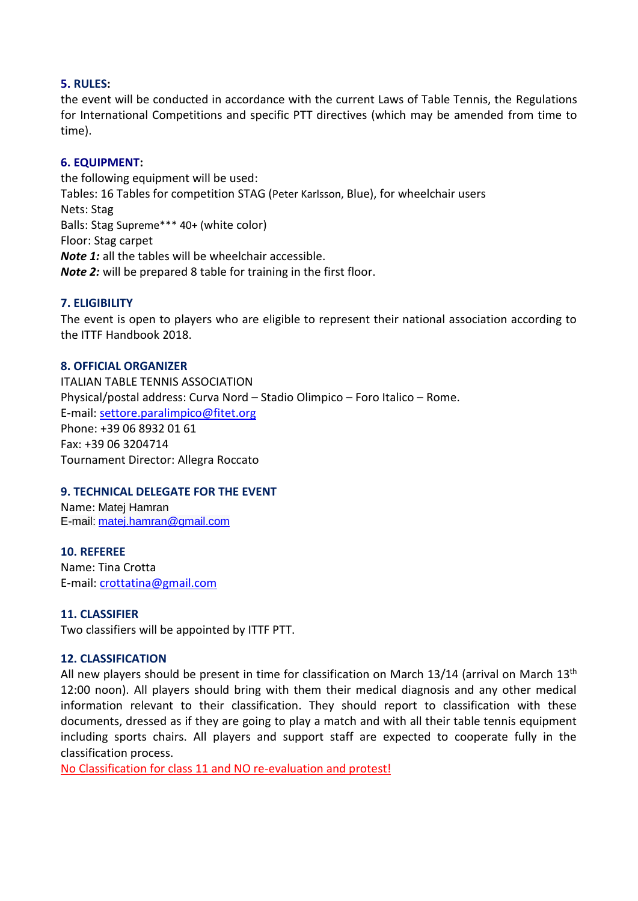## **5. RULES:**

the event will be conducted in accordance with the current Laws of Table Tennis, the Regulations for International Competitions and specific PTT directives (which may be amended from time to time).

## **6. EQUIPMENT:**

the following equipment will be used: Tables: 16 Tables for competition STAG (Peter Karlsson, Blue), for wheelchair users Nets: Stag Balls: Stag Supreme\*\*\* 40+ (white color) Floor: Stag carpet *Note 1:* all the tables will be wheelchair accessible. *Note 2:* will be prepared 8 table for training in the first floor.

# **7. ELIGIBILITY**

The event is open to players who are eligible to represent their national association according to the ITTF Handbook 2018.

## **8. OFFICIAL ORGANIZER**

ITALIAN TABLE TENNIS ASSOCIATION Physical/postal address: Curva Nord – Stadio Olimpico – Foro Italico – Rome. E-mail: [settore.paralimpico@fitet.org](mailto:settore.paralimpico@fitet.org) Phone: +39 06 8932 01 61 Fax: +39 06 3204714 Tournament Director: Allegra Roccato

## **9. TECHNICAL DELEGATE FOR THE EVENT**

Name: Matej Hamran E-mail: [matej.hamran@gmail.com](mailto:matej.hamran@gmail.com)

**10. REFEREE** Name: Tina Crotta E-mail: [crottatina@gmail.com](mailto:crottatina@gmail.com)

## **11. CLASSIFIER**

Two classifiers will be appointed by ITTF PTT.

## **12. CLASSIFICATION**

All new players should be present in time for classification on March 13/14 (arrival on March 13<sup>th</sup>) 12:00 noon). All players should bring with them their medical diagnosis and any other medical information relevant to their classification. They should report to classification with these documents, dressed as if they are going to play a match and with all their table tennis equipment including sports chairs. All players and support staff are expected to cooperate fully in the classification process.

No Classification for class 11 and NO re-evaluation and protest!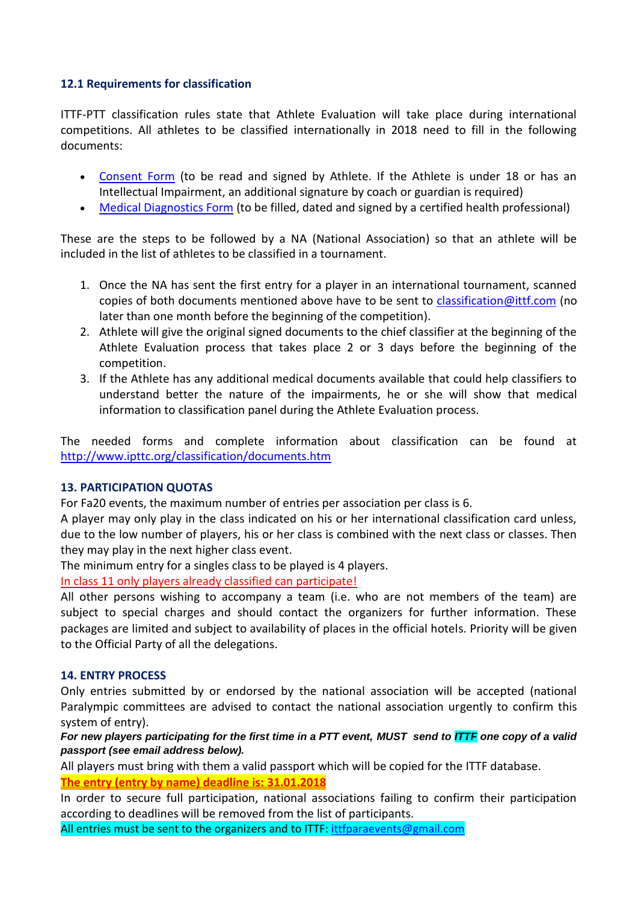## **12.1 Requirements for classification**

ITTF-PTT classification rules state that Athlete Evaluation will take place during international competitions. All athletes to be classified internationally in 2018 need to fill in the following documents:

- [Consent Form](http://www.ipttc.org/classification/NA-NPC/ITTF-PTT%20Consent%20Form.pdf) (to be read and signed by Athlete. If the Athlete is under 18 or has an Intellectual Impairment, an additional signature by coach or guardian is required)
- [Medical Diagnostics Form](http://www.ipttc.org/classification/NA-NPC/ITTF-PTT%20Physical%20Impairment%20Medical%20Diagnostics%20Form.pdf) (to be filled, dated and signed by a certified health professional)

These are the steps to be followed by a NA (National Association) so that an athlete will be included in the list of athletes to be classified in a tournament.

- 1. Once the NA has sent the first entry for a player in an international tournament, scanned copies of both documents mentioned above have to be sent to [classification@ittf.com](mailto:classification@ittf.com) (no later than one month before the beginning of the competition).
- 2. Athlete will give the original signed documents to the chief classifier at the beginning of the Athlete Evaluation process that takes place 2 or 3 days before the beginning of the competition.
- 3. If the Athlete has any additional medical documents available that could help classifiers to understand better the nature of the impairments, he or she will show that medical information to classification panel during the Athlete Evaluation process.

The needed forms and complete information about classification can be found at <http://www.ipttc.org/classification/documents.htm>

## **13. PARTICIPATION QUOTAS**

For Fa20 events, the maximum number of entries per association per class is 6.

A player may only play in the class indicated on his or her international classification card unless, due to the low number of players, his or her class is combined with the next class or classes. Then they may play in the next higher class event.

The minimum entry for a singles class to be played is 4 players.

In class 11 only players already classified can participate!

All other persons wishing to accompany a team (i.e. who are not members of the team) are subject to special charges and should contact the organizers for further information. These packages are limited and subject to availability of places in the official hotels. Priority will be given to the Official Party of all the delegations.

## **14. ENTRY PROCESS**

Only entries submitted by or endorsed by the national association will be accepted (national Paralympic committees are advised to contact the national association urgently to confirm this system of entry).

*For new players participating for the first time in a PTT event, MUST send to ITTF one copy of a valid passport (see email address below).*

All players must bring with them a valid passport which will be copied for the ITTF database. **The entry (entry by name) deadline is: 31.01.2018**

In order to secure full participation, national associations failing to confirm their participation according to deadlines will be removed from the list of participants.

All entries must be sent to the organizers and to ITTF: [ittfparaevents@gmail.com](mailto:ittfparaevents@gmail.com)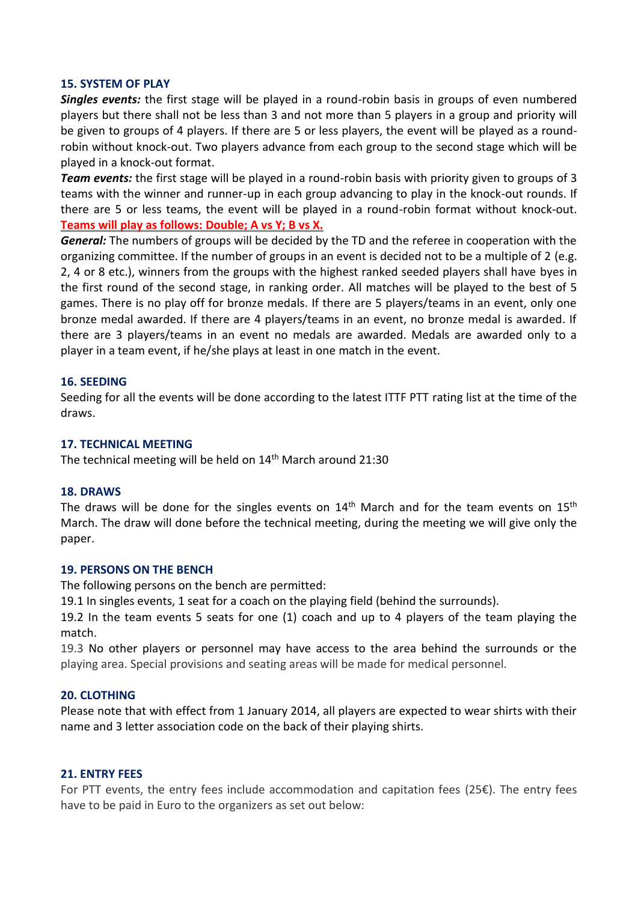#### **15. SYSTEM OF PLAY**

*Singles events:* the first stage will be played in a round-robin basis in groups of even numbered players but there shall not be less than 3 and not more than 5 players in a group and priority will be given to groups of 4 players. If there are 5 or less players, the event will be played as a roundrobin without knock-out. Two players advance from each group to the second stage which will be played in a knock-out format.

*Team events:* the first stage will be played in a round-robin basis with priority given to groups of 3 teams with the winner and runner-up in each group advancing to play in the knock-out rounds. If there are 5 or less teams, the event will be played in a round-robin format without knock-out. **Teams will play as follows: Double; A vs Y; B vs X.**

*General:* The numbers of groups will be decided by the TD and the referee in cooperation with the organizing committee. If the number of groups in an event is decided not to be a multiple of 2 (e.g. 2, 4 or 8 etc.), winners from the groups with the highest ranked seeded players shall have byes in the first round of the second stage, in ranking order. All matches will be played to the best of 5 games. There is no play off for bronze medals. If there are 5 players/teams in an event, only one bronze medal awarded. If there are 4 players/teams in an event, no bronze medal is awarded. If there are 3 players/teams in an event no medals are awarded. Medals are awarded only to a player in a team event, if he/she plays at least in one match in the event.

## **16. SEEDING**

Seeding for all the events will be done according to the latest ITTF PTT rating list at the time of the draws.

#### **17. TECHNICAL MEETING**

The technical meeting will be held on 14<sup>th</sup> March around 21:30

#### **18. DRAWS**

The draws will be done for the singles events on  $14<sup>th</sup>$  March and for the team events on  $15<sup>th</sup>$ March. The draw will done before the technical meeting, during the meeting we will give only the paper.

#### **19. PERSONS ON THE BENCH**

The following persons on the bench are permitted:

19.1 In singles events, 1 seat for a coach on the playing field (behind the surrounds).

19.2 In the team events 5 seats for one (1) coach and up to 4 players of the team playing the match.

19.3 No other players or personnel may have access to the area behind the surrounds or the playing area. Special provisions and seating areas will be made for medical personnel.

#### **20. CLOTHING**

Please note that with effect from 1 January 2014, all players are expected to wear shirts with their name and 3 letter association code on the back of their playing shirts.

#### **21. ENTRY FEES**

For PTT events, the entry fees include accommodation and capitation fees (25€). The entry fees have to be paid in Euro to the organizers as set out below: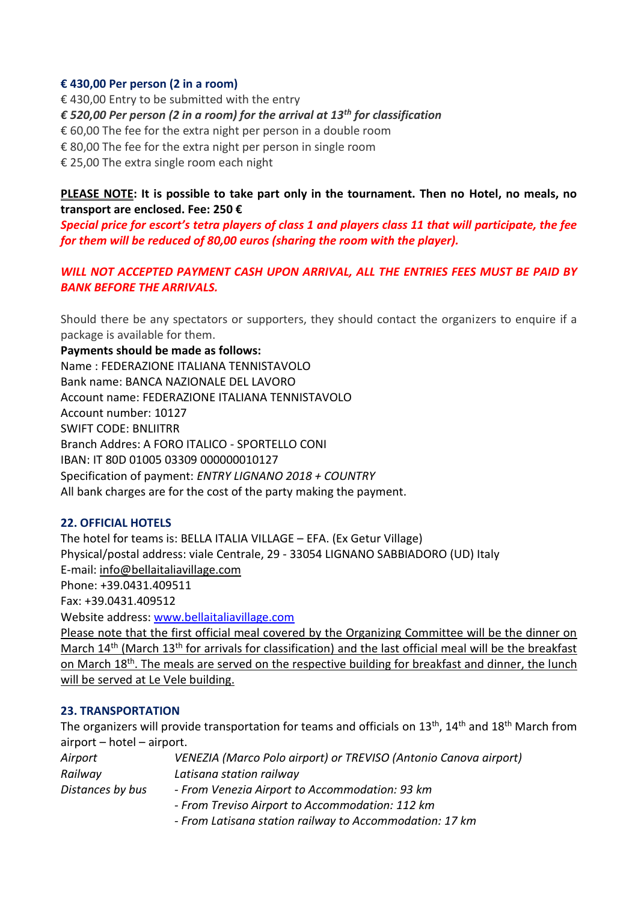## **€ 430,00 Per person (2 in a room)**

€ 430,00 Entry to be submitted with the entry

*€ 520,00 Per person (2 in a room) for the arrival at 13th for classification*

€ 60,00 The fee for the extra night per person in a double room

€ 80,00 The fee for the extra night per person in single room

€ 25,00 The extra single room each night

**PLEASE NOTE: It is possible to take part only in the tournament. Then no Hotel, no meals, no transport are enclosed. Fee: 250 €**

*Special price for escort's tetra players of class 1 and players class 11 that will participate, the fee for them will be reduced of 80,00 euros (sharing the room with the player).*

*WILL NOT ACCEPTED PAYMENT CASH UPON ARRIVAL, ALL THE ENTRIES FEES MUST BE PAID BY BANK BEFORE THE ARRIVALS.*

Should there be any spectators or supporters, they should contact the organizers to enquire if a package is available for them.

**Payments should be made as follows:** Name : FEDERAZIONE ITALIANA TENNISTAVOLO Bank name: BANCA NAZIONALE DEL LAVORO Account name: FEDERAZIONE ITALIANA TENNISTAVOLO Account number: 10127 SWIFT CODE: BNLIITRR Branch Addres: A FORO ITALICO - SPORTELLO CONI IBAN: IT 80D 01005 03309 000000010127 Specification of payment: *ENTRY LIGNANO 2018 + COUNTRY* All bank charges are for the cost of the party making the payment.

# **22. OFFICIAL HOTELS**

The hotel for teams is: BELLA ITALIA VILLAGE – EFA. (Ex Getur Village) Physical/postal address: viale Centrale, 29 - 33054 LIGNANO SABBIADORO (UD) Italy E-mail: [info@bellaitaliavillage.com](javascript:void(0);) Phone: +39.0431.409511 Fax: +39.0431.409512 Website address: [www.bellaitaliavillage.com](http://www.bellaitaliavillage.com/) Please note that the first official meal covered by the Organizing Committee will be the dinner on

March 14<sup>th</sup> (March 13<sup>th</sup> for arrivals for classification) and the last official meal will be the breakfast on March 18<sup>th</sup>. The meals are served on the respective building for breakfast and dinner, the lunch will be served at Le Vele building.

## **23. TRANSPORTATION**

The organizers will provide transportation for teams and officials on  $13<sup>th</sup>$ ,  $14<sup>th</sup>$  and  $18<sup>th</sup>$  March from airport – hotel – airport.

| Airport          | VENEZIA (Marco Polo airport) or TREVISO (Antonio Canova airport) |
|------------------|------------------------------------------------------------------|
| Railway          | Latisana station railway                                         |
| Distances by bus | - From Venezia Airport to Accommodation: 93 km                   |
|                  | - From Treviso Airport to Accommodation: 112 km                  |
|                  |                                                                  |

*- From Latisana station railway to Accommodation: 17 km*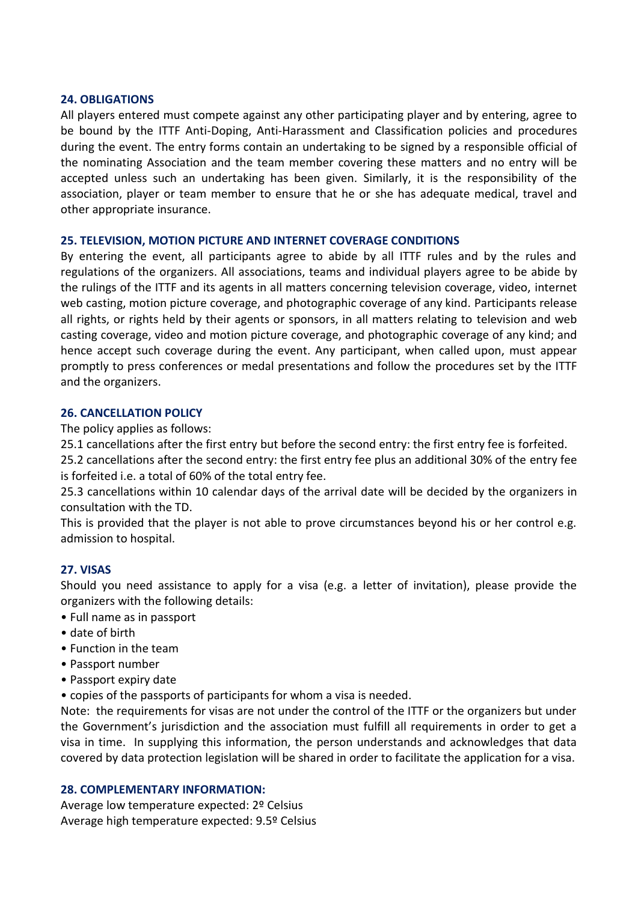#### **24. OBLIGATIONS**

All players entered must compete against any other participating player and by entering, agree to be bound by the ITTF Anti-Doping, Anti-Harassment and Classification policies and procedures during the event. The entry forms contain an undertaking to be signed by a responsible official of the nominating Association and the team member covering these matters and no entry will be accepted unless such an undertaking has been given. Similarly, it is the responsibility of the association, player or team member to ensure that he or she has adequate medical, travel and other appropriate insurance.

## **25. TELEVISION, MOTION PICTURE AND INTERNET COVERAGE CONDITIONS**

By entering the event, all participants agree to abide by all ITTF rules and by the rules and regulations of the organizers. All associations, teams and individual players agree to be abide by the rulings of the ITTF and its agents in all matters concerning television coverage, video, internet web casting, motion picture coverage, and photographic coverage of any kind. Participants release all rights, or rights held by their agents or sponsors, in all matters relating to television and web casting coverage, video and motion picture coverage, and photographic coverage of any kind; and hence accept such coverage during the event. Any participant, when called upon, must appear promptly to press conferences or medal presentations and follow the procedures set by the ITTF and the organizers.

#### **26. CANCELLATION POLICY**

The policy applies as follows:

25.1 cancellations after the first entry but before the second entry: the first entry fee is forfeited.

25.2 cancellations after the second entry: the first entry fee plus an additional 30% of the entry fee is forfeited i.e. a total of 60% of the total entry fee.

25.3 cancellations within 10 calendar days of the arrival date will be decided by the organizers in consultation with the TD.

This is provided that the player is not able to prove circumstances beyond his or her control e.g. admission to hospital.

## **27. VISAS**

Should you need assistance to apply for a visa (e.g. a letter of invitation), please provide the organizers with the following details:

- Full name as in passport
- date of birth
- Function in the team
- Passport number
- Passport expiry date
- copies of the passports of participants for whom a visa is needed.

Note: the requirements for visas are not under the control of the ITTF or the organizers but under the Government's jurisdiction and the association must fulfill all requirements in order to get a visa in time. In supplying this information, the person understands and acknowledges that data covered by data protection legislation will be shared in order to facilitate the application for a visa.

## **28. COMPLEMENTARY INFORMATION:**

Average low temperature expected: 2º Celsius Average high temperature expected: 9.5º Celsius